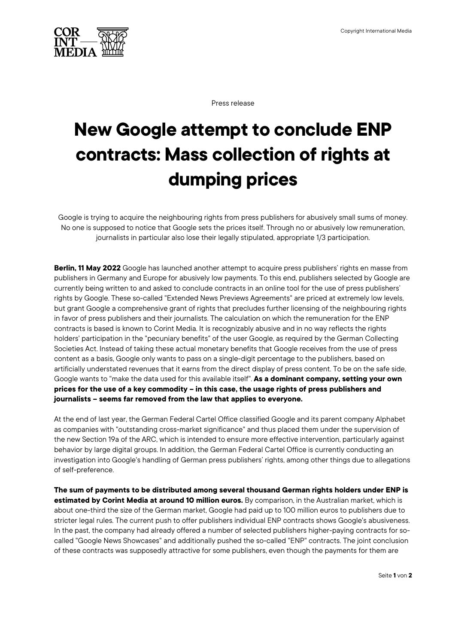

Press release

## **New Google attempt to conclude ENP contracts: Mass collection of rights at dumping prices**

Google is trying to acquire the neighbouring rights from press publishers for abusively small sums of money. No one is supposed to notice that Google sets the prices itself. Through no or abusively low remuneration, journalists in particular also lose their legally stipulated, appropriate 1/3 participation.

**Berlin, 11 May 2022** Google has launched another attempt to acquire press publishers' rights en masse from publishers in Germany and Europe for abusively low payments. To this end, publishers selected by Google are currently being written to and asked to conclude contracts in an online tool for the use of press publishers' rights by Google. These so-called "Extended News Previews Agreements" are priced at extremely low levels, but grant Google a comprehensive grant of rights that precludes further licensing of the neighbouring rights in favor of press publishers and their journalists. The calculation on which the remuneration for the ENP contracts is based is known to Corint Media. It is recognizably abusive and in no way reflects the rights holders' participation in the "pecuniary benefits" of the user Google, as required by the German Collecting Societies Act. Instead of taking these actual monetary benefits that Google receives from the use of press content as a basis, Google only wants to pass on a single-digit percentage to the publishers, based on artificially understated revenues that it earns from the direct display of press content. To be on the safe side, Google wants to "make the data used for this available itself". **As a dominant company, setting your own prices for the use of a key commodity – in this case, the usage rights of press publishers and journalists – seems far removed from the law that applies to everyone.**

At the end of last year, the German Federal Cartel Office classified Google and its parent company Alphabet as companies with "outstanding cross-market significance" and thus placed them under the supervision of the new Section 19a of the ARC, which is intended to ensure more effective intervention, particularly against behavior by large digital groups. In addition, the German Federal Cartel Office is currently conducting an investigation into Google's handling of German press publishers' rights, among other things due to allegations of self-preference.

**The sum of payments to be distributed among several thousand German rights holders under ENP is estimated by Corint Media at around 10 million euros.** By comparison, in the Australian market, which is about one-third the size of the German market, Google had paid up to 100 million euros to publishers due to stricter legal rules. The current push to offer publishers individual ENP contracts shows Google's abusiveness. In the past, the company had already offered a number of selected publishers higher-paying contracts for socalled "Google News Showcases" and additionally pushed the so-called "ENP" contracts. The joint conclusion of these contracts was supposedly attractive for some publishers, even though the payments for them are